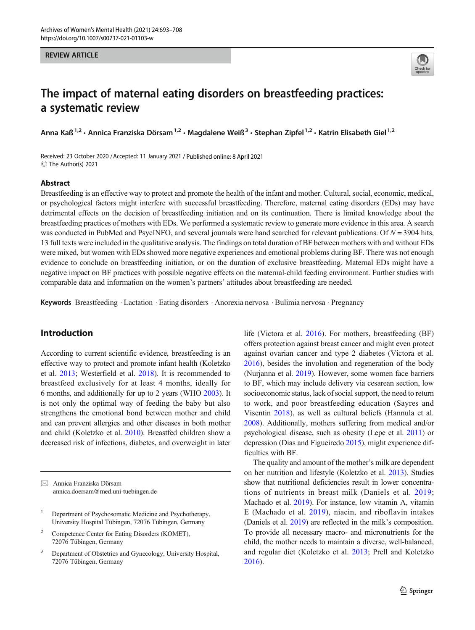#### REVIEW ARTICLE



# The impact of maternal eating disorders on breastfeeding practices: a systematic review

Anna Kaß<sup>1,2</sup> • Annica Franziska Dörsam<sup>1,2</sup> • Magdalene Weiß<sup>3</sup> • Stephan Zipfel<sup>1,2</sup> • Katrin Elisabeth Giel<sup>1,2</sup>

Received: 23 October 2020 /Accepted: 11 January 2021 / Published online: 8 April 2021 C The Author(s) 2021

#### Abstract

Breastfeeding is an effective way to protect and promote the health of the infant and mother. Cultural, social, economic, medical, or psychological factors might interfere with successful breastfeeding. Therefore, maternal eating disorders (EDs) may have detrimental effects on the decision of breastfeeding initiation and on its continuation. There is limited knowledge about the breastfeeding practices of mothers with EDs. We performed a systematic review to generate more evidence in this area. A search was conducted in PubMed and PsycINFO, and several journals were hand searched for relevant publications. Of  $N = 3904$  hits, 13 full texts were included in the qualitative analysis. The findings on total duration of BF between mothers with and without EDs were mixed, but women with EDs showed more negative experiences and emotional problems during BF. There was not enough evidence to conclude on breastfeeding initiation, or on the duration of exclusive breastfeeding. Maternal EDs might have a negative impact on BF practices with possible negative effects on the maternal-child feeding environment. Further studies with comparable data and information on the women's partners' attitudes about breastfeeding are needed.

Keywords Breastfeeding . Lactation . Eating disorders . Anorexia nervosa . Bulimia nervosa . Pregnancy

# Introduction

According to current scientific evidence, breastfeeding is an effective way to protect and promote infant health (Koletzko et al. [2013;](#page-14-0) Westerfield et al. [2018](#page-15-0)). It is recommended to breastfeed exclusively for at least 4 months, ideally for 6 months, and additionally for up to 2 years (WHO [2003\)](#page-15-0). It is not only the optimal way of feeding the baby but also strengthens the emotional bond between mother and child and can prevent allergies and other diseases in both mother and child (Koletzko et al. [2010](#page-14-0)). Breastfed children show a decreased risk of infections, diabetes, and overweight in later

 $\boxtimes$  Annica Franziska Dörsam [annica.doersam@med.uni-tuebingen.de](mailto:annica.doersam@med.uni-tuebingen.de)

- Competence Center for Eating Disorders (KOMET), 72076 Tübingen, Germany
- Department of Obstetrics and Gynecology, University Hospital, 72076 Tübingen, Germany

life (Victora et al. [2016\)](#page-15-0). For mothers, breastfeeding (BF) offers protection against breast cancer and might even protect against ovarian cancer and type 2 diabetes (Victora et al. [2016\)](#page-15-0), besides the involution and regeneration of the body (Nurjanna et al. [2019\)](#page-14-0). However, some women face barriers to BF, which may include delivery via cesarean section, low socioeconomic status, lack of social support, the need to return to work, and poor breastfeeding education (Sayres and Visentin [2018\)](#page-15-0), as well as cultural beliefs (Hannula et al. [2008\)](#page-14-0). Additionally, mothers suffering from medical and/or psychological disease, such as obesity (Lepe et al. [2011\)](#page-14-0) or depression (Dias and Figueiredo [2015](#page-14-0)), might experience difficulties with BF.

The quality and amount of the mother's milk are dependent on her nutrition and lifestyle (Koletzko et al. [2013\)](#page-14-0). Studies show that nutritional deficiencies result in lower concentrations of nutrients in breast milk (Daniels et al. [2019;](#page-14-0) Machado et al. [2019](#page-14-0)). For instance, low vitamin A, vitamin E (Machado et al. [2019\)](#page-14-0), niacin, and riboflavin intakes (Daniels et al. [2019\)](#page-14-0) are reflected in the milk's composition. To provide all necessary macro- and micronutrients for the child, the mother needs to maintain a diverse, well-balanced, and regular diet (Koletzko et al. [2013](#page-14-0); Prell and Koletzko [2016\)](#page-15-0).

<sup>&</sup>lt;sup>1</sup> Department of Psychosomatic Medicine and Psychotherapy, University Hospital Tübingen, 72076 Tübingen, Germany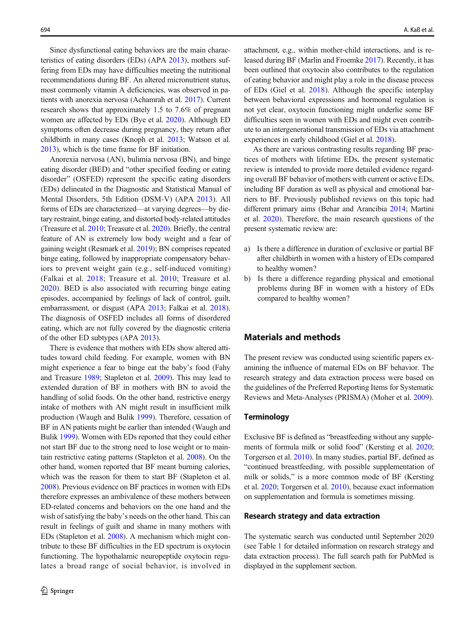Since dysfunctional eating behaviors are the main characteristics of eating disorders (EDs) (APA [2013](#page-13-0)), mothers suffering from EDs may have difficulties meeting the nutritional recommendations during BF. An altered micronutrient status, most commonly vitamin A deficiencies, was observed in patients with anorexia nervosa (Achamrah et al. [2017](#page-13-0)). Current research shows that approximately 1.5 to 7.6% of pregnant women are affected by EDs (Bye et al. [2020\)](#page-13-0). Although ED symptoms often decrease during pregnancy, they return after childbirth in many cases (Knoph et al. [2013](#page-14-0); Watson et al. [2013\)](#page-15-0), which is the time frame for BF initiation.

Anorexia nervosa (AN), bulimia nervosa (BN), and binge eating disorder (BED) and "other specified feeding or eating disorder" (OSFED) represent the specific eating disorders (EDs) delineated in the Diagnostic and Statistical Manual of Mental Disorders, 5th Edition (DSM-V) (APA [2013\)](#page-13-0). All forms of EDs are characterized—at varying degrees—by dietary restraint, binge eating, and distorted body-related attitudes (Treasure et al. [2010;](#page-15-0) Treasure et al. [2020\)](#page-15-0). Briefly, the central feature of AN is extremely low body weight and a fear of gaining weight (Resmark et al. [2019](#page-15-0)); BN comprises repeated binge eating, followed by inappropriate compensatory behaviors to prevent weight gain (e.g., self-induced vomiting) (Falkai et al. [2018;](#page-14-0) Treasure et al. [2010;](#page-15-0) Treasure et al. [2020\)](#page-15-0). BED is also associated with recurring binge eating episodes, accompanied by feelings of lack of control, guilt, embarrassment, or disgust (APA [2013;](#page-13-0) Falkai et al. [2018](#page-14-0)). The diagnosis of OSFED includes all forms of disordered eating, which are not fully covered by the diagnostic criteria of the other ED subtypes (APA [2013\)](#page-13-0).

There is evidence that mothers with EDs show altered attitudes toward child feeding. For example, women with BN might experience a fear to binge eat the baby's food (Fahy and Treasure [1989;](#page-14-0) Stapleton et al. [2009\)](#page-15-0). This may lead to extended duration of BF in mothers with BN to avoid the handling of solid foods. On the other hand, restrictive energy intake of mothers with AN might result in insufficient milk production (Waugh and Bulik [1999](#page-15-0)). Therefore, cessation of BF in AN patients might be earlier than intended (Waugh and Bulik [1999](#page-15-0)). Women with EDs reported that they could either not start BF due to the strong need to lose weight or to maintain restrictive eating patterns (Stapleton et al. [2008\)](#page-15-0). On the other hand, women reported that BF meant burning calories, which was the reason for them to start BF (Stapleton et al. [2008\)](#page-15-0). Previous evidence on BF practices in women with EDs therefore expresses an ambivalence of these mothers between ED-related concerns and behaviors on the one hand and the wish of satisfying the baby's needs on the other hand. This can result in feelings of guilt and shame in many mothers with EDs (Stapleton et al. [2008](#page-15-0)). A mechanism which might contribute to these BF difficulties in the ED spectrum is oxytocin functioning. The hypothalamic neuropeptide oxytocin regulates a broad range of social behavior, is involved in

attachment, e.g., within mother-child interactions, and is released during BF (Marlin and Froemke [2017](#page-14-0)). Recently, it has been outlined that oxytocin also contributes to the regulation of eating behavior and might play a role in the disease process of EDs (Giel et al. [2018\)](#page-14-0). Although the specific interplay between behavioral expressions and hormonal regulation is not yet clear, oxytocin functioning might underlie some BF difficulties seen in women with EDs and might even contribute to an intergenerational transmission of EDs via attachment experiences in early childhood (Giel et al. [2018](#page-14-0)).

As there are various contrasting results regarding BF practices of mothers with lifetime EDs, the present systematic review is intended to provide more detailed evidence regarding overall BF behavior of mothers with current or active EDs, including BF duration as well as physical and emotional barriers to BF. Previously published reviews on this topic had different primary aims (Behar and Arancibia [2014;](#page-13-0) Martini et al. [2020\)](#page-14-0). Therefore, the main research questions of the present systematic review are:

- a) Is there a difference in duration of exclusive or partial BF after childbirth in women with a history of EDs compared to healthy women?
- b) Is there a difference regarding physical and emotional problems during BF in women with a history of EDs compared to healthy women?

## Materials and methods

The present review was conducted using scientific papers examining the influence of maternal EDs on BF behavior. The research strategy and data extraction process were based on the guidelines of the Preferred Reporting Items for Systematic Reviews and Meta-Analyses (PRISMA) (Moher et al. [2009](#page-14-0)).

## **Terminology**

Exclusive BF is defined as "breastfeeding without any supplements of formula milk or solid food" (Kersting et al. [2020;](#page-14-0) Torgersen et al. [2010\)](#page-15-0). In many studies, partial BF, defined as "continued breastfeeding, with possible supplementation of milk or solids," is a more common mode of BF (Kersting et al. [2020;](#page-14-0) Torgersen et al. [2010\)](#page-15-0), because exact information on supplementation and formula is sometimes missing.

## Research strategy and data extraction

The systematic search was conducted until September 2020 (see Table 1 for detailed information on research strategy and data extraction process). The full search path for PubMed is displayed in the supplement section.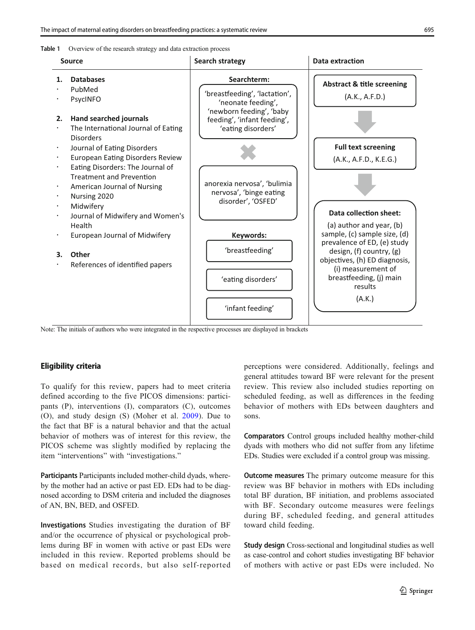



Note: The initials of authors who were integrated in the respective processes are displayed in brackets

#### Eligibility criteria

To qualify for this review, papers had to meet criteria defined according to the five PICOS dimensions: participants (P), interventions (I), comparators (C), outcomes (O), and study design (S) (Moher et al. [2009](#page-14-0)). Due to the fact that BF is a natural behavior and that the actual behavior of mothers was of interest for this review, the PICOS scheme was slightly modified by replacing the item "interventions" with "investigations."

Participants Participants included mother-child dyads, whereby the mother had an active or past ED. EDs had to be diagnosed according to DSM criteria and included the diagnoses of AN, BN, BED, and OSFED.

Investigations Studies investigating the duration of BF and/or the occurrence of physical or psychological problems during BF in women with active or past EDs were included in this review. Reported problems should be based on medical records, but also self-reported perceptions were considered. Additionally, feelings and general attitudes toward BF were relevant for the present review. This review also included studies reporting on scheduled feeding, as well as differences in the feeding behavior of mothers with EDs between daughters and sons.

Comparators Control groups included healthy mother-child dyads with mothers who did not suffer from any lifetime EDs. Studies were excluded if a control group was missing.

Outcome measures The primary outcome measure for this review was BF behavior in mothers with EDs including total BF duration, BF initiation, and problems associated with BF. Secondary outcome measures were feelings during BF, scheduled feeding, and general attitudes toward child feeding.

Study design Cross-sectional and longitudinal studies as well as case-control and cohort studies investigating BF behavior of mothers with active or past EDs were included. No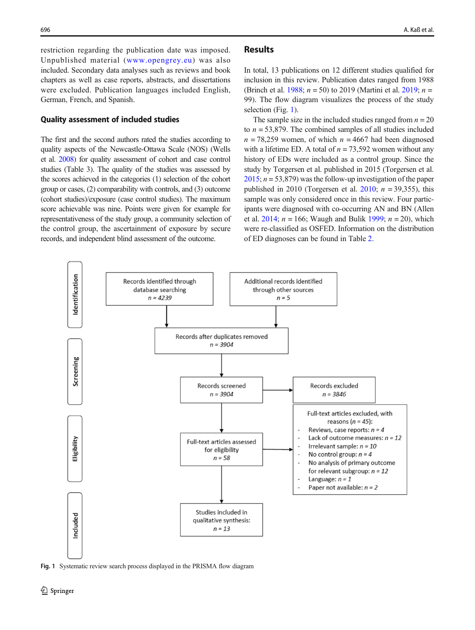restriction regarding the publication date was imposed. Unpublished material ([www.opengrey.eu](http://www.opengrey.eu)) was also included. Secondary data analyses such as reviews and book chapters as well as case reports, abstracts, and dissertations were excluded. Publication languages included English, German, French, and Spanish.

#### Quality assessment of included studies

The first and the second authors rated the studies according to quality aspects of the Newcastle-Ottawa Scale (NOS) (Wells et al. [2008\)](#page-15-0) for quality assessment of cohort and case control studies (Table 3). The quality of the studies was assessed by the scores achieved in the categories (1) selection of the cohort group or cases, (2) comparability with controls, and (3) outcome (cohort studies)/exposure (case control studies). The maximum score achievable was nine. Points were given for example for representativeness of the study group, a community selection of the control group, the ascertainment of exposure by secure records, and independent blind assessment of the outcome.

## Results

In total, 13 publications on 12 different studies qualified for inclusion in this review. Publication dates ranged from 1988 (Brinch et al. [1988](#page-13-0);  $n = 50$ ) to 2019 (Martini et al. [2019;](#page-14-0)  $n =$ 99). The flow diagram visualizes the process of the study selection (Fig. 1).

The sample size in the included studies ranged from  $n = 20$ to  $n = 53,879$ . The combined samples of all studies included  $n = 78,259$  women, of which  $n = 4667$  had been diagnosed with a lifetime ED. A total of  $n = 73,592$  women without any history of EDs were included as a control group. Since the study by Torgersen et al. published in 2015 (Torgersen et al.  $2015$ ;  $n = 53,879$ ) was the follow-up investigation of the paper published in 2010 (Torgersen et al. [2010;](#page-15-0)  $n = 39,355$ ), this sample was only considered once in this review. Four participants were diagnosed with co-occurring AN and BN (Allen et al. [2014;](#page-13-0)  $n = 166$ ; Waugh and Bulik [1999](#page-15-0);  $n = 20$ ), which were re-classified as OSFED. Information on the distribution of ED diagnoses can be found in Table [2.](#page-4-0)



Fig. 1 Systematic review search process displayed in the PRISMA flow diagram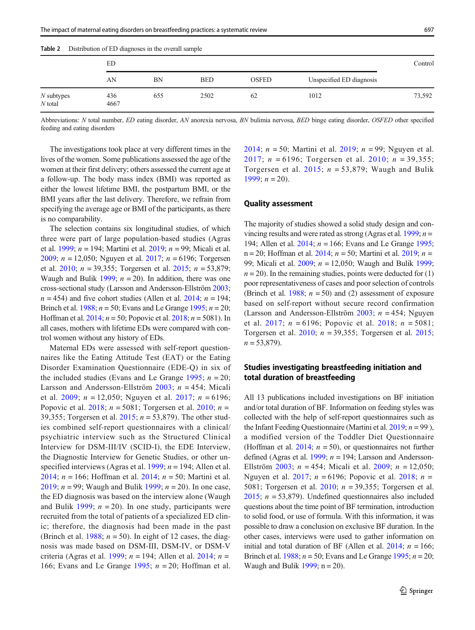<span id="page-4-0"></span>

| Table 2<br>Distribution of ED diagnoses in the overall sample |  |
|---------------------------------------------------------------|--|
|---------------------------------------------------------------|--|

|                           | ED          |     |            |              |                          | Control |
|---------------------------|-------------|-----|------------|--------------|--------------------------|---------|
|                           | AN          | BN  | <b>BED</b> | <b>OSFED</b> | Unspecified ED diagnosis |         |
| $N$ subtypes<br>$N$ total | 436<br>4667 | 655 | 2502       | 62           | 1012                     | 73,592  |

Abbreviations: N total number, ED eating disorder, AN anorexia nervosa, BN bulimia nervosa, BED binge eating disorder, OSFED other specified feeding and eating disorders

The investigations took place at very different times in the lives of the women. Some publications assessed the age of the women at their first delivery; others assessed the current age at a follow-up. The body mass index (BMI) was reported as either the lowest lifetime BMI, the postpartum BMI, or the BMI years after the last delivery. Therefore, we refrain from specifying the average age or BMI of the participants, as there is no comparability.

The selection contains six longitudinal studies, of which three were part of large population-based studies (Agras et al. [1999](#page-13-0);  $n = 194$ ; Martini et al. [2019](#page-14-0);  $n = 99$ ; Micali et al. [2009;](#page-14-0)  $n = 12,050$ ; Nguyen et al. [2017](#page-14-0);  $n = 6196$ ; Torgersen et al. [2010](#page-15-0);  $n = 39,355$ ; Torgersen et al. [2015;](#page-15-0)  $n = 53,879$ ; Waugh and Bulik [1999;](#page-15-0)  $n = 20$ ). In addition, there was one cross-sectional study (Larsson and Andersson-Ellström [2003](#page-14-0);  $n = 454$ ) and five cohort studies (Allen et al. [2014](#page-13-0);  $n = 194$ ; Brinch et al. [1988](#page-13-0);  $n = 50$ ; Evans and Le Grange [1995](#page-14-0);  $n = 20$ ; Hoffman et al.  $2014$ ;  $n = 50$ ; Popovic et al.  $2018$ ;  $n = 5081$ ). In all cases, mothers with lifetime EDs were compared with control women without any history of EDs.

Maternal EDs were assessed with self-report questionnaires like the Eating Attitude Test (EAT) or the Eating Disorder Examination Questionnaire (EDE-Q) in six of the included studies (Evans and Le Grange [1995;](#page-14-0)  $n = 20$ ; Larsson and Andersson-Ellström  $2003$ ;  $n = 454$ ; Micali et al. [2009;](#page-14-0)  $n = 12,050$ ; Nguyen et al. [2017;](#page-14-0)  $n = 6196$ ; Popovic et al. [2018](#page-15-0);  $n = 5081$ ; Torgersen et al. [2010](#page-15-0);  $n =$ 39,355; Torgersen et al.  $2015$ ;  $n = 53,879$ ). The other studies combined self-report questionnaires with a clinical/ psychiatric interview such as the Structured Clinical Interview for DSM-III/IV (SCID-I), the EDE Interview, the Diagnostic Interview for Genetic Studies, or other un-specified interviews (Agras et al. [1999](#page-13-0);  $n = 194$ ; Allen et al. [2014](#page-13-0);  $n = 166$ ; Hoffman et al. [2014;](#page-14-0)  $n = 50$ ; Martini et al. [2019](#page-14-0);  $n = 99$ ; Waugh and Bulik [1999;](#page-15-0)  $n = 20$ ). In one case, the ED diagnosis was based on the interview alone (Waugh and Bulik [1999](#page-15-0);  $n = 20$ ). In one study, participants were recruited from the total of patients of a specialized ED clinic; therefore, the diagnosis had been made in the past (Brinch et al. [1988;](#page-13-0)  $n = 50$ ). In eight of 12 cases, the diagnosis was made based on DSM-III, DSM-IV, or DSM-V criteria (Agras et al. [1999](#page-13-0);  $n = 194$ ; Allen et al. [2014;](#page-13-0)  $n =$ 166; Evans and Le Grange  $1995$ ;  $n = 20$ ; Hoffman et al.

[2014;](#page-14-0)  $n = 50$ ; Martini et al. [2019;](#page-14-0)  $n = 99$ ; Nguyen et al. [2017;](#page-14-0)  $n = 6196$ ; Torgersen et al. [2010;](#page-15-0)  $n = 39,355$ ; Torgersen et al. [2015](#page-15-0);  $n = 53,879$ ; Waugh and Bulik [1999](#page-15-0);  $n = 20$ ).

#### Quality assessment

The majority of studies showed a solid study design and con-vincing results and were rated as strong (Agras et al. [1999](#page-13-0);  $n =$ 194; Allen et al. [2014](#page-13-0);  $n = 166$ ; Evans and Le Grange [1995;](#page-14-0)  $n = 20$ ; Hoffman et al. [2014;](#page-14-0)  $n = 50$ ; Martini et al. [2019;](#page-14-0)  $n =$ 99; Micali et al. [2009](#page-14-0); n = 12,050; Waugh and Bulik [1999;](#page-15-0)  $n = 20$ ). In the remaining studies, points were deducted for (1) poor representativeness of cases and poor selection of controls (Brinch et al. [1988](#page-13-0);  $n = 50$ ) and (2) assessment of exposure based on self-report without secure record confirmation (Larsson and Andersson-Ellström  $2003$ ;  $n = 454$ ; Nguyen et al. [2017](#page-14-0);  $n = 6196$ ; Popovic et al. [2018](#page-15-0);  $n = 5081$ ; Torgersen et al. [2010](#page-15-0);  $n = 39,355$ ; Torgersen et al. [2015;](#page-15-0)  $n = 53,879$ .

## Studies investigating breastfeeding initiation and total duration of breastfeeding

All 13 publications included investigations on BF initiation and/or total duration of BF. Information on feeding styles was collected with the help of self-report questionnaires such as the Infant Feeding Questionnaire (Martini et al. [2019;](#page-14-0)  $n = 99$ ), a modified version of the Toddler Diet Questionnaire (Hoffman et al. [2014;](#page-14-0)  $n = 50$ ), or questionnaires not further defined (Agras et al. [1999](#page-13-0);  $n = 194$ ; Larsson and Andersson-Ellström [2003](#page-14-0);  $n = 454$ ; Micali et al. [2009](#page-14-0);  $n = 12,050$ ; Nguyen et al. [2017;](#page-14-0)  $n = 6196$ ; Popovic et al. [2018;](#page-15-0)  $n =$ 5081; Torgersen et al. [2010;](#page-15-0)  $n = 39,355$ ; Torgersen et al. [2015;](#page-15-0)  $n = 53,879$ ). Undefined questionnaires also included questions about the time point of BF termination, introduction to solid food, or use of formula. With this information, it was possible to draw a conclusion on exclusive BF duration. In the other cases, interviews were used to gather information on initial and total duration of BF (Allen et al. [2014;](#page-13-0)  $n = 166$ ; Brinch et al. [1988](#page-13-0);  $n = 50$ ; Evans and Le Grange [1995;](#page-14-0)  $n = 20$ ; Waugh and Bulik  $1999$ ; n = 20).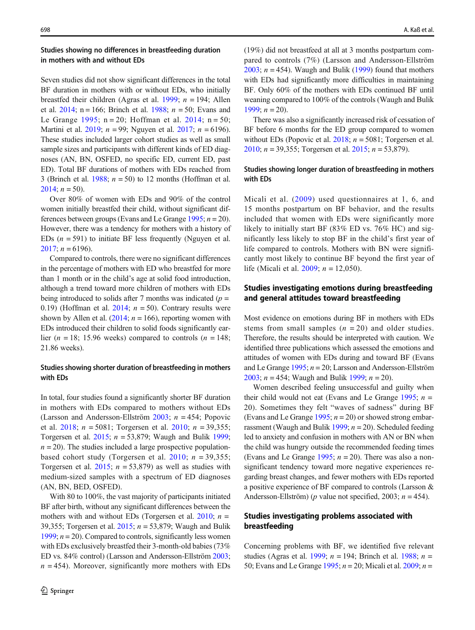# Studies showing no differences in breastfeeding duration in mothers with and without EDs

Seven studies did not show significant differences in the total BF duration in mothers with or without EDs, who initially breastfed their children (Agras et al. [1999](#page-13-0);  $n = 194$ ; Allen et al.  $2014$ ; n = 166; Brinch et al. [1988](#page-13-0);  $n = 50$ ; Evans and Le Grange [1995;](#page-14-0)  $n = 20$ ; Hoffman et al. [2014](#page-14-0);  $n = 50$ ; Martini et al. [2019](#page-14-0);  $n = 99$ ; Nguyen et al. [2017;](#page-14-0)  $n = 6196$ ). These studies included larger cohort studies as well as small sample sizes and participants with different kinds of ED diagnoses (AN, BN, OSFED, no specific ED, current ED, past ED). Total BF durations of mothers with EDs reached from 3 (Brinch et al. [1988](#page-13-0);  $n = 50$ ) to 12 months (Hoffman et al. [2014;](#page-14-0)  $n = 50$ ).

Over 80% of women with EDs and 90% of the control women initially breastfed their child, without significant differences between groups (Evans and Le Grange  $1995$ ;  $n = 20$ ). However, there was a tendency for mothers with a history of EDs  $(n = 591)$  to initiate BF less frequently (Nguyen et al. [2017;](#page-14-0)  $n = 6196$ ).

Compared to controls, there were no significant differences in the percentage of mothers with ED who breastfed for more than 1 month or in the child's age at solid food introduction, although a trend toward more children of mothers with EDs being introduced to solids after 7 months was indicated  $(p =$ 0.19) (Hoffman et al. [2014;](#page-14-0)  $n = 50$ ). Contrary results were shown by Allen et al.  $(2014; n = 166)$  $(2014; n = 166)$ , reporting women with EDs introduced their children to solid foods significantly earlier ( $n = 18$ ; 15.96 weeks) compared to controls ( $n = 148$ ; 21.86 weeks).

## Studies showing shorter duration of breastfeeding in mothers with EDs

In total, four studies found a significantly shorter BF duration in mothers with EDs compared to mothers without EDs (Larsson and Andersson-Ellström  $2003$ ;  $n = 454$ ; Popovic et al. [2018;](#page-15-0)  $n = 5081$ ; Torgersen et al. [2010](#page-15-0);  $n = 39,355$ ; Torgersen et al. [2015;](#page-15-0)  $n = 53,879$ ; Waugh and Bulik [1999](#page-15-0);  $n = 20$ ). The studies included a large prospective population-based cohort study (Torgersen et al. [2010](#page-15-0);  $n = 39,355$ ; Torgersen et al. [2015;](#page-15-0)  $n = 53,879$  as well as studies with medium-sized samples with a spectrum of ED diagnoses (AN, BN, BED, OSFED).

With 80 to 100%, the vast majority of participants initiated BF after birth, without any significant differences between the mothers with and without EDs (Torgersen et al. [2010;](#page-15-0)  $n =$ 39,355; Torgersen et al. [2015;](#page-15-0)  $n = 53,879$ ; Waugh and Bulik [1999;](#page-15-0)  $n = 20$ ). Compared to controls, significantly less women with EDs exclusively breastfed their 3-month-old babies (73% ED vs. 84% control) (Larsson and Andersson-Ellström [2003](#page-14-0);  $n = 454$ ). Moreover, significantly more mothers with EDs (19%) did not breastfeed at all at 3 months postpartum compared to controls (7%) (Larsson and Andersson-Ellström [2003;](#page-14-0)  $n = 454$ ). Waugh and Bulik ([1999](#page-15-0)) found that mothers with EDs had significantly more difficulties in maintaining BF. Only 60% of the mothers with EDs continued BF until weaning compared to 100% of the controls (Waugh and Bulik [1999;](#page-15-0)  $n = 20$ ).

There was also a significantly increased risk of cessation of BF before 6 months for the ED group compared to women without EDs (Popovic et al.  $2018$ ;  $n = 5081$ ; Torgersen et al. [2010;](#page-15-0)  $n = 39,355$ ; Torgersen et al. [2015](#page-15-0);  $n = 53,879$ ).

## Studies showing longer duration of breastfeeding in mothers with EDs

Micali et al. ([2009\)](#page-14-0) used questionnaires at 1, 6, and 15 months postpartum on BF behavior, and the results included that women with EDs were significantly more likely to initially start BF (83% ED vs. 76% HC) and significantly less likely to stop BF in the child's first year of life compared to controls. Mothers with BN were significantly most likely to continue BF beyond the first year of life (Micali et al. [2009;](#page-14-0)  $n = 12,050$ ).

# Studies investigating emotions during breastfeeding and general attitudes toward breastfeeding

Most evidence on emotions during BF in mothers with EDs stems from small samples  $(n = 20)$  and older studies. Therefore, the results should be interpreted with caution. We identified three publications which assessed the emotions and attitudes of women with EDs during and toward BF (Evans and Le Grange  $1995$ ;  $n = 20$ ; Larsson and Andersson-Ellström [2003;](#page-14-0)  $n = 454$ ; Waugh and Bulik [1999](#page-15-0);  $n = 20$ ).

Women described feeling unsuccessful and guilty when their child would not eat (Evans and Le Grange [1995](#page-14-0);  $n =$ 20). Sometimes they felt "waves of sadness" during BF (Evans and Le Grange [1995](#page-14-0);  $n = 20$ ) or showed strong embar-rassment (Waugh and Bulik [1999;](#page-15-0)  $n = 20$ ). Scheduled feeding led to anxiety and confusion in mothers with AN or BN when the child was hungry outside the recommended feeding times (Evans and Le Grange [1995](#page-14-0);  $n = 20$ ). There was also a nonsignificant tendency toward more negative experiences regarding breast changes, and fewer mothers with EDs reported a positive experience of BF compared to controls (Larsson & Andersson-Ellström) (*p* value not specified, 2003;  $n = 454$ ).

# Studies investigating problems associated with breastfeeding

Concerning problems with BF, we identified five relevant studies (Agras et al. [1999](#page-13-0);  $n = 194$ ; Brinch et al. [1988](#page-13-0);  $n =$ 50; Evans and Le Grange [1995;](#page-14-0)  $n = 20$ ; Micali et al. [2009](#page-14-0);  $n =$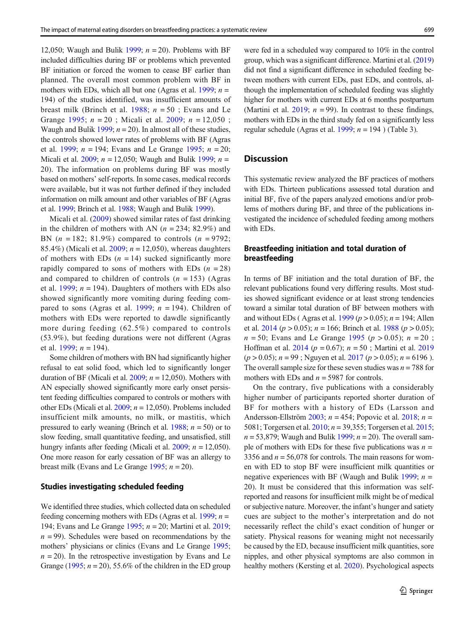<span id="page-6-0"></span>12,050; Waugh and Bulik [1999;](#page-15-0)  $n = 20$ ). Problems with BF included difficulties during BF or problems which prevented BF initiation or forced the women to cease BF earlier than planned. The overall most common problem with BF in mothers with EDs, which all but one (Agras et al. [1999](#page-13-0);  $n =$ 194) of the studies identified, was insufficient amounts of breast milk (Brinch et al.  $1988$ ;  $n = 50$ ; Evans and Le Grange [1995](#page-14-0);  $n = 20$ ; Micali et al. [2009;](#page-14-0)  $n = 12,050$ ; Waugh and Bulik [1999;](#page-15-0)  $n = 20$ ). In almost all of these studies, the controls showed lower rates of problems with BF (Agras et al. [1999](#page-13-0);  $n = 194$ ; Evans and Le Grange [1995](#page-14-0);  $n = 20$ ; Micali et al. [2009](#page-14-0);  $n = 12,050$ ; Waugh and Bulik [1999;](#page-15-0)  $n =$ 20). The information on problems during BF was mostly based on mothers' self-reports. In some cases, medical records were available, but it was not further defined if they included information on milk amount and other variables of BF (Agras et al. [1999](#page-13-0); Brinch et al. [1988;](#page-13-0) Waugh and Bulik [1999](#page-15-0)).

Micali et al. [\(2009\)](#page-14-0) showed similar rates of fast drinking in the children of mothers with AN  $(n = 234; 82.9\%)$  and BN  $(n = 182; 81.9\%)$  compared to controls  $(n = 9792;$ 85.4%) (Micali et al.  $2009$ ;  $n = 12,050$ ), whereas daughters of mothers with EDs  $(n = 14)$  sucked significantly more rapidly compared to sons of mothers with EDs  $(n = 28)$ and compared to children of controls  $(n = 153)$  (Agras et al. [1999;](#page-13-0)  $n = 194$ ). Daughters of mothers with EDs also showed significantly more vomiting during feeding com-pared to sons (Agras et al. [1999;](#page-13-0)  $n = 194$ ). Children of mothers with EDs were reported to dawdle significantly more during feeding (62.5%) compared to controls (53.9%), but feeding durations were not different (Agras et al. [1999;](#page-13-0)  $n = 194$ ).

Some children of mothers with BN had significantly higher refusal to eat solid food, which led to significantly longer duration of BF (Micali et al.  $2009$ ;  $n = 12,050$ ). Mothers with AN especially showed significantly more early onset persistent feeding difficulties compared to controls or mothers with other EDs (Micali et al.  $2009$ ;  $n = 12,050$ ). Problems included insufficient milk amounts, no milk, or mastitis, which pressured to early weaning (Brinch et al.  $1988$ ;  $n = 50$ ) or to slow feeding, small quantitative feeding, and unsatisfied, still hungry infants after feeding (Micali et al. [2009;](#page-14-0)  $n = 12,050$ ). One more reason for early cessation of BF was an allergy to breast milk (Evans and Le Grange [1995;](#page-14-0)  $n = 20$ ).

#### Studies investigating scheduled feeding

We identified three studies, which collected data on scheduled feeding concerning mothers with EDs (Agras et al. [1999](#page-13-0);  $n =$ 194; Evans and Le Grange  $1995$ ;  $n = 20$ ; Martini et al.  $2019$ ;  $n = 99$ ). Schedules were based on recommendations by the mothers' physicians or clinics (Evans and Le Grange [1995](#page-14-0);  $n = 20$ ). In the retrospective investigation by Evans and Le Grange [\(1995](#page-14-0);  $n = 20$ ), 55.6% of the children in the ED group were fed in a scheduled way compared to 10% in the control group, which was a significant difference. Martini et al. [\(2019](#page-14-0)) did not find a significant difference in scheduled feeding between mothers with current EDs, past EDs, and controls, although the implementation of scheduled feeding was slightly higher for mothers with current EDs at 6 months postpartum (Martini et al. [2019](#page-14-0);  $n = 99$ ). In contrast to these findings, mothers with EDs in the third study fed on a significantly less regular schedule (Agras et al. [1999;](#page-13-0)  $n = 194$ ) (Table 3).

## **Discussion**

This systematic review analyzed the BF practices of mothers with EDs. Thirteen publications assessed total duration and initial BF, five of the papers analyzed emotions and/or problems of mothers during BF, and three of the publications investigated the incidence of scheduled feeding among mothers with EDs.

## Breastfeeding initiation and total duration of breastfeeding

In terms of BF initiation and the total duration of BF, the relevant publications found very differing results. Most studies showed significant evidence or at least strong tendencies toward a similar total duration of BF between mothers with and without EDs (Agras et al.  $1999 (p > 0.05)$  $1999 (p > 0.05)$ ;  $n = 194$ ; Allen et al.  $2014 (p > 0.05)$  $2014 (p > 0.05)$ ;  $n = 166$ ; Brinch et al. [1988](#page-13-0) ( $p > 0.05$ );  $n = 50$ ; Evans and Le Grange [1995](#page-14-0) ( $p > 0.05$ );  $n = 20$ ; Hoffman et al. [2014](#page-14-0) ( $p = 0.67$ );  $n = 50$ ; Martini et al. [2019](#page-14-0)  $(p > 0.05)$ ;  $n = 99$ ; Nguyen et al. [2017](#page-14-0)  $(p > 0.05)$ ;  $n = 6196$ ). The overall sample size for these seven studies was  $n = 788$  for mothers with EDs and  $n = 5987$  for controls.

On the contrary, five publications with a considerably higher number of participants reported shorter duration of BF for mothers with a history of EDs (Larsson and Andersson-Ellström [2003](#page-14-0);  $n = 454$ ; Popovic et al. [2018](#page-15-0);  $n =$ 5081; Torgersen et al. [2010;](#page-15-0) n = 39,355; Torgersen et al. [2015;](#page-15-0)  $n = 53,879$ ; Waugh and Bulik [1999](#page-15-0);  $n = 20$ ). The overall sample of mothers with EDs for these five publications was  $n =$ 3356 and  $n = 56,078$  for controls. The main reasons for women with ED to stop BF were insufficient milk quantities or negative experiences with BF (Waugh and Bulik [1999;](#page-15-0)  $n =$ 20). It must be considered that this information was selfreported and reasons for insufficient milk might be of medical or subjective nature. Moreover, the infant's hunger and satiety cues are subject to the mother's interpretation and do not necessarily reflect the child's exact condition of hunger or satiety. Physical reasons for weaning might not necessarily be caused by the ED, because insufficient milk quantities, sore nipples, and other physical symptoms are also common in healthy mothers (Kersting et al. [2020](#page-14-0)). Psychological aspects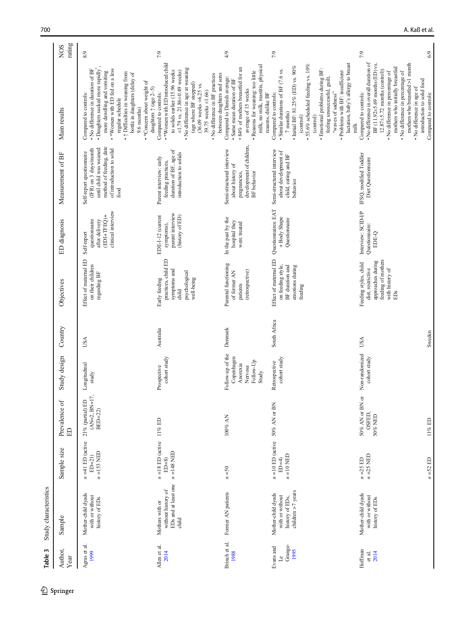| Author,<br>Year                    | Sample                                                                          | Sample size                                                | Prevalence of<br>ED                               | Study design                                                                | Country              | Objectives                                                                                                      | ED diagnosis                                                                        | Measurement of BF                                                                                                                            | Main results                                                                                                                                                                                                                                                                                                                                                             | rating<br>N <sub>O</sub> S |
|------------------------------------|---------------------------------------------------------------------------------|------------------------------------------------------------|---------------------------------------------------|-----------------------------------------------------------------------------|----------------------|-----------------------------------------------------------------------------------------------------------------|-------------------------------------------------------------------------------------|----------------------------------------------------------------------------------------------------------------------------------------------|--------------------------------------------------------------------------------------------------------------------------------------------------------------------------------------------------------------------------------------------------------------------------------------------------------------------------------------------------------------------------|----------------------------|
| Agras et al.<br>1999               | Mother-child dyads<br>with or without<br>history of EDs                         | $n = 41$ ED (active<br>$n = 153$ NED<br>$ED=21$            | $(AN=2, BN=17$<br>21% (partial) ED<br>$BED=22$    | Longitudinal<br>study                                                       | USA                  | Effect of maternal ED<br>on their children<br>regarding BF                                                      | clinical interview<br>(EDI+TFEO)+<br>questionnaire<br>after delivery<br>Self-report | method of feeding, date<br>until child was weaned:<br>of introduction to solid<br>(IFR) on 3 days/month<br>Self-report questionnaire<br>food | • No difference in duration of BF<br>. *Women with ED fed on a less<br>· Daughters sucked more rapidly<br>more dawdling and vomiting<br>+ 1 Difficulties in weaning from<br>bottle in daughters (delay of<br>• *Concern about weight of<br>Compared to controls:<br>regular schedule<br>$9.6$ months) $\,$                                                               | 8/9                        |
| Allen et al.<br>2014               | EDs and at least one<br>without history of<br>Mothers with or<br>child          | $n = 18$ ED (active 11% ED<br>$n = 148$ NED<br>$ED=8$      |                                                   | cohort study<br>Prospective                                                 | Australia            | practices, child ED<br>symptoms and<br>psychological<br>Early feeding<br>well-being<br>child                    | parent interview<br>EDE-I-12 (current<br>(history of ED)<br>symptoms),              | duration of BF, age of<br>introduction to solids<br>Parent interview: early<br>feeding practices,                                            | .*Women with ED introduced child<br>· No difference in age at weaning<br>to solids earlier (15.96 weeks<br>$\pm 1.79$ vs. 21.86 $\pm 0.49$ weeks)<br>between daughters and sons<br>· No difference in BF practices<br>(age where BF stopped)<br>$(36.09$ weeks $\pm 6.25$ vs.<br>daughters $\uparrow$ (age 2-5)<br>39.75 weeks $\pm 1.66$ )<br>Compared to controls:     | 7/9                        |
| Brinch et al.<br>1988              | Former AN patients                                                              | $n = 50$                                                   | 100% AN                                           | Follow-up of the<br>Copenhagen<br>Follow-Up<br>Anorexia<br>Nervosa<br>Study | Denmark              | Parental functioning<br>(retrospective)<br>of former AN<br>patients                                             | In the past by the<br>hospital they<br>were treated                                 | development of children,<br>Semi-structured interview<br>about history of<br>BF behavior<br>pregnancies,                                     | milk, no milk, mastitis, physical<br>$\bullet$ 84% of mothers breastfed for an<br>· Reasons for weaning: too little<br>Compared to Danish average:<br>· Same mean duration of BF<br>average of 15 weeks<br>reasons, dislike BF                                                                                                                                           | 4/9                        |
| Grange-<br>Evans and<br>1995<br>ಗೆ | children $>7$ years<br>Mother-child dyads<br>with or without<br>history of EDs, | $n = 10$ ED (active 50% AN or BN<br>$n = 10$ NED<br>$ED=4$ |                                                   | cohort study<br>Retrospective                                               | South Africa         | Effect of maternal ED<br>on feeding style,<br>BF duration and<br>emotions during<br>feeding                     | Questionnaires: EAT<br>+ Body Shape<br>Questionnaire                                | Semi-structured interview<br>about development of<br>child, eating and BF<br>behavior                                                        | lactation, baby's allergy to breast<br>$\bullet$ 55.6% scheduled feeding vs. 10%<br>- Initial BF: 81.25% (ED) vs. $90\%$<br>· Emotional problems during BF:<br>• Similar durations of BF (7.6 vs.<br>· Problems with BF: insufficient<br>feeling unsuccessful, guilt,<br>"waves of sadness"<br>Compared to controls:<br>7 months)<br>(control)<br>(control)<br>milk      | 7/9                        |
| Hoffman<br>2014<br>et al.          | Mother-child dyads<br>with or without<br>history of EDs                         | $n = 25$ NED<br>$n = 52$ ED<br>$n = 25$ ED                 | 50% AN or BN or<br>OSFED,<br>50% NED<br>$11\%$ ED | Non-randomized<br>cohort study                                              | Sweden<br><b>USA</b> | feeding of mothers<br>approaches during<br>Feeding styles, child<br>diet, restrictive<br>with history of<br>EDs | Interview: SCID-I/P<br>Questionnaire:<br>EDE-Q                                      | IFSQ, modified Toddler<br>Diet Questionnaire                                                                                                 | • No difference in overall duration of<br>mothers who breastfed >1 month<br>BF (11.92±5.69 months (ED) vs.<br>mothers who initially breastfed<br>$12.87 \pm 5.72$ months (control))<br>• No difference in percentage of<br>• No difference in percentage of<br>introduction to solid food<br>• No difference in age of<br>Compared to controls:<br>Compared to controls: | 6/9<br>7/9                 |

Table 3 Study characteristics Table 3 Study characteristics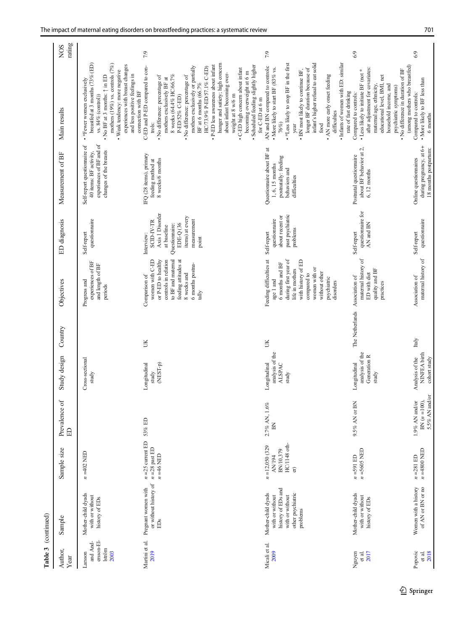| Table 3                                             | (continued)                                                                                                     |                                                                        |                                                     |                                                           |                 |                                                                                                                                                                                                       |                                                                                                                                                 |                                                                                                              |                                                                                                                                                                                                                                                                                                                                                                                                                                                                                                                                               |                           |
|-----------------------------------------------------|-----------------------------------------------------------------------------------------------------------------|------------------------------------------------------------------------|-----------------------------------------------------|-----------------------------------------------------------|-----------------|-------------------------------------------------------------------------------------------------------------------------------------------------------------------------------------------------------|-------------------------------------------------------------------------------------------------------------------------------------------------|--------------------------------------------------------------------------------------------------------------|-----------------------------------------------------------------------------------------------------------------------------------------------------------------------------------------------------------------------------------------------------------------------------------------------------------------------------------------------------------------------------------------------------------------------------------------------------------------------------------------------------------------------------------------------|---------------------------|
| Author,<br>Year                                     | Sample                                                                                                          | Sample size                                                            | Prevalence of<br>旵                                  | Study design                                              | Country         | Objectives                                                                                                                                                                                            | ED diagnosis                                                                                                                                    | Measurement of BF                                                                                            | Main results                                                                                                                                                                                                                                                                                                                                                                                                                                                                                                                                  | rating<br>NO <sub>S</sub> |
| ersson-El-<br>and And-<br>Iström<br>2003<br>Larsson | Mother-child dyads<br>with or without<br>history of EDs                                                         | $n = 402$ NED                                                          |                                                     | Cross-sectional<br>study                                  |                 | experiences of BF<br>and length of BF<br>Progress and<br>periods                                                                                                                                      | questionnaire<br>Self-report                                                                                                                    | experiences of BF and of<br>Self-report questionnaire of<br>changes of the breasts<br>40 items: BF activity, | breastfed at 3 months (73% (ED)<br>mothers (19%) vs. controls (7%)<br>experiences with breast changes<br>· Weak tendency: more negative<br>and less positive feelings in<br>• No BF at 3 months: $\uparrow$ in ED<br>• *Fewer women exclusively<br>vs. $84\%$ (control))                                                                                                                                                                                                                                                                      |                           |
| Martini et al.<br>2019                              | or without history of<br>Pregnant women with<br>EDs                                                             | $n = 25$ current ED<br>$n = 28$ past ED<br>$n = 46$ NED                | 53% ED                                              | Longitudinal<br>$(4-TSET-p)$<br>study                     | JK              | women with C-ED<br>or P-ED to healthy<br>controls in relation<br>to BF and maternal<br>feeding attitudes at<br>6 months postna-<br>8 weeks and<br>Comparison of<br>tally                              | Axis 1 Disorder<br>items) at every<br>measurement<br>SCID-IV-TR<br>EDE-Q <sub>(36</sub><br>Questionnaire:<br>at baseline<br>Interview:<br>point | IFQ (28 items), primary<br>8 weeks/6 months<br>feeding method at                                             | hunger and satiety; high concern<br>· P-ED less awareness about infant<br>· Scheduled feeding slightly higher<br>C-ED and P-ED compared to con-<br>mothers exclusively or partially<br>HC/73.9% P-ED/57.1% C-ED)<br>• C-ED high concern about infant<br>becoming overweight at 6 m<br>about infant becoming over-<br>8 weeks (64.4% HC/66.7%<br>• No difference: percentage of<br>• No difference: percentage of<br>mothers exclusively BF at<br>BF at 6 months (66.7%<br>connection with BF<br>weight at 8 w/6 m<br>P-ED/52% C-ED)<br>trols: | 7/9                       |
| Micali et al.<br>2009                               | history of EDs and<br>other psychiatric<br>Mother-child dyads<br>with or without<br>with or without<br>problems | HC/1148 oth-<br>$n = 12,050(329)$<br>BN/10,379<br><b>AN/194</b><br>er) | $2.7\%$ AN, 1.6%<br>$\mathbb{R}$                    | analysis of the<br>Longitudinal<br><b>ALSPAC</b><br>study | Э               | Feeding difficulties at<br>during first year of<br>with history of ED<br>6 months and BF<br>women with or<br>life in mothers<br>without other<br>compared to<br>psychiatric<br>age 1 and<br>disorders | past psychiatric<br>about recent or<br>questionnaire<br>problems<br>Self-report                                                                 | Questionnaire about BF at<br>postnatally: feeding<br>$1,\,6,\,15$ months<br>behaviors and<br>difficulties    | infant's higher refusal to eat solid<br>· Infants of women with ED: similar<br>.*Less likely to stop BF in the first<br>AN and BN compared to controls:<br>• More likely to start BF (83% vs.<br>longer BF duration because of<br>• BN most likely to continue BF,<br>• AN more early onset feeding<br>for C-ED at 6 m<br>difficulties<br>76%)<br>food<br>year                                                                                                                                                                                | 7/9                       |
| 2017<br>et al.<br>Nguyen                            | Mother-child dyads<br>with or without<br>history of EDs                                                         | $n = 5605$ NED<br>$n = 591$ ED                                         | 9.5% AN or BN                                       | analysis of the<br>Generation R<br>Longitudinal<br>study  | The Netherlands | maternal history of<br>quality and BF<br>ED with diet<br>Association of<br>practices                                                                                                                  | questionnaire for<br>AN and BN<br>Self-report                                                                                                   | about BF behavior at 2,<br>Postnatal questionnaire<br>$6, 12$ months                                         | after adjustment for covariates:<br>• No difference in duration of BF<br>• Less likely to initiate BF (not *<br>educational level, BMI, net<br>maternal age, ethnicity,<br>household income, and<br>psychiatric symptoms)<br>rate of fast drinking<br>Compared to controls:                                                                                                                                                                                                                                                                   | 6/9                       |
| Popovic<br>2018<br>et al.                           | Women with a history<br>of AN or BN or no                                                                       | $n = 4800$ NED<br>$n = 281$ ED                                         | 5.5% AN and/or<br>$BN (n = 100),$<br>1.9% AN and/or | NINFEA birth<br>Analysis of the<br>cohort study           | Italy           | maternal history of<br>Association of                                                                                                                                                                 | questionnaire<br>Self-report                                                                                                                    | during pregnancy, at 6+<br>18 months postpartum:<br>Online questionnaires                                    | (among mothers who breastfed)<br>• More likely to BF less than<br>Compared to controls:<br>6 months                                                                                                                                                                                                                                                                                                                                                                                                                                           | 6/9                       |

 $\underline{\textcircled{\tiny 2}}$  Springer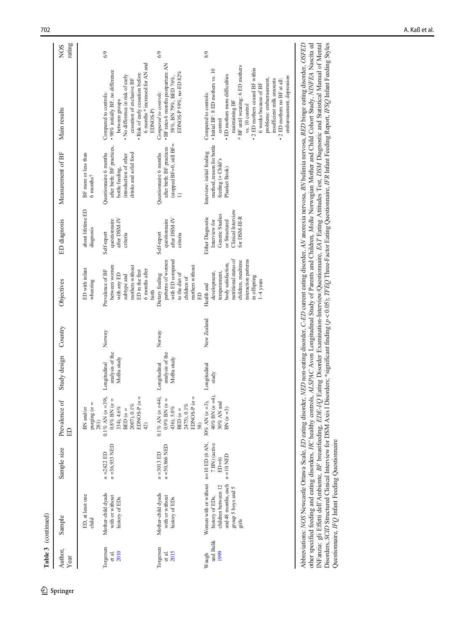| Table 3 (continued)         |                                                                                                                                        |                                         |                                                                                                                   |                                               |             |                                                                                                                                                                        |                                                                                                               |                                                                                                                           |                                                                                                                                                                                                                                                                                                                                                                          |                           |
|-----------------------------|----------------------------------------------------------------------------------------------------------------------------------------|-----------------------------------------|-------------------------------------------------------------------------------------------------------------------|-----------------------------------------------|-------------|------------------------------------------------------------------------------------------------------------------------------------------------------------------------|---------------------------------------------------------------------------------------------------------------|---------------------------------------------------------------------------------------------------------------------------|--------------------------------------------------------------------------------------------------------------------------------------------------------------------------------------------------------------------------------------------------------------------------------------------------------------------------------------------------------------------------|---------------------------|
| Author,<br>Year             | Sample                                                                                                                                 | Sample size                             | Prevalence of<br>旵                                                                                                | Study design Country                          |             | Objectives                                                                                                                                                             | ED diagnosis                                                                                                  | Measurement of BF                                                                                                         | Main results                                                                                                                                                                                                                                                                                                                                                             | rating<br>NO <sub>S</sub> |
|                             | ED, at least one<br>child                                                                                                              |                                         | purging $(n = 281)$<br>BN and/or                                                                                  |                                               |             | ED with infant<br>wheezing                                                                                                                                             | about lifetime ED<br>diagnosis                                                                                | BF more or less than<br>6 months?                                                                                         |                                                                                                                                                                                                                                                                                                                                                                          |                           |
| Torgersen<br>2010<br>et al. | Mother-child dyads<br>with or without<br>history of EDs                                                                                | $n = 36,933$ NED<br>$n = 2422$ ED       | EDNOS-P $(n =$<br>$0.1\%$ AN $(n=39)$<br>$0.8\%$ BN $(n=$<br>$2007),\,0.1\,\%$<br>334), 4.6%<br>BED $(n =$<br>42) | analysis of the<br>MoBa study<br>Longitudinal | Norway      | between women<br>mothers without<br>6 months after<br>Prevalence of BF<br>ED in the first<br>with any ED<br>subtype and<br>birth                                       | after DSM-IV<br>questionnaire<br>Self-report<br>criteria                                                      | after birth: BF practices,<br>Questionnaire 6 months<br>drinks and solid food<br>introduction of other<br>bottle feeding, | 6 months* increased for AN and<br>• 98% initially BF, no difference<br>· Risk of early cessation before<br>• No difference in risk of early<br>cessation of exclusive BF<br>Compared to controls:<br>between groups<br>EDNOS-P)                                                                                                                                          | 6/9                       |
| Torgersen<br>2015<br>et al. | Mother-child dyads<br>with or without<br>history of EDs                                                                                | $n = 50,866$ NED<br>$n = 3013$ ED       | EDNOS-P $(n =$<br>$0.1\%$ AN $(n=44)$<br>0.9% BN $(n =$<br>2475), 0.1%<br>436), 5.0%<br>BED $(n=$<br>58)          | analysis of the<br>MoBa study<br>Longitudinal | Norway      | with ED compared<br>patterns of women<br>mothers without<br>Dietary feeding<br>to the diet of<br>children of<br>日                                                      | after DSM-IV<br>questionnaire<br>Self-report<br>criteria                                                      | (stopped BF=0, still BF=<br>after birth: BF practices<br>Questionnaire 6 months                                           | · BF rates 6 months postpartum: AN<br>EDNOS-P 59%, no-ED 82%<br>58%, BN 79%, BED 76%,<br>Compared to controls:                                                                                                                                                                                                                                                           | 6/9                       |
| and Bulik<br>1999<br>Waugh  | Women with or without $n=10$ ED (6 AN,<br>and 48 months, each<br>children between 12<br>group 5 boys and 5<br>history of EDs,<br>girls | 7 BN) (active<br>$n = 10$ NED<br>$ED=6$ | $40\%$ BN $(n=4)$<br>30% AN $(n = 3)$ ,<br>$30\%$ AN and<br>BN $(n=3)$                                            | Longitudinal<br>study                         | New Zealand | nutritional status of<br>interaction patterns<br>children, mealtime<br>body satisfaction,<br>development,<br>temperament,<br>in offspring<br>$1-4$ years<br>Health and | Clinical Interview<br>Genetic Studies<br>for DSM-III-R<br>Either Diagnostic<br>or Structured<br>Interview for | method, reason for bottle<br>Interview: initial feeding<br>feeding (+ Child's<br>Plunket Book)                            | * BF until weaning: 6 ED mothers<br>• 2 ED mothers ceased BF within<br>· Initial BF: 8 ED mothers vs. 10<br>• ED mothers more difficulties<br>embarrassment, depression<br>problems: embarrassment,<br>insufficient milk amounts<br>2 ED mothers no BF at all:<br>6 weeks because of BF<br>Compared to controls:<br>maintaining BF<br>$vs.$ $10\rm\; control$<br>control | 8/9                       |

Abbreviations: NOS Newcastle Ottawa Scale, ED eating disorder, NED non-eating disorder, O-ED current eating disorder, AN anorexia nervosa, BN bulimia nervosa, BED binge eating disorder, OSFED<br>other specified feeding and ea INFanzia: gli Effetti dell'Ambiente, BF breastfeeding, EDE-I/Q Eating Disorder Examination-Interview/Questionnaire, EAT Eating Attitudes Test, DSM Diagnostic and Statistical Manual of Mental<br>Disorders, SCID Structured Clin Abbreviations: NOS Newcastle Ottawa Scale, ED eating disorder, NED non-eating disorder, C-ED current eating disorder, AN anorexia nervosa, BN bulimia nervosa, BED binge eating disorder, OSFED other specified feeding and eating disorders, HC healthy controls, ALSPAC Avon Longitudinal Study of Parents and Children, MoBa Norwegian Mother and Child Cohort Study, NINFEA Nascita ed INFanzia: gli Effetti dell'Ambiente, BF breastfeeding, EDE-I/Q Eating Disorder Examination-Interview/Questionnaire, EAT Eating Attitudes Test, DSM Diagnostic and Statistical Manual of Mental Disorders, SCID Structured Clinical Interview for DSM Axis I Disorders; \*significant finding (p < 0.05); TFEQ Three-Factor Eating Questionnaire, IFR Infant Feeding Report, IFSQ Infant Feeding Styles Questionnaire, IFQ Infant Feeding Questionnaire Questionnaire, IFQ Infant Feeding Questionnaire

Springer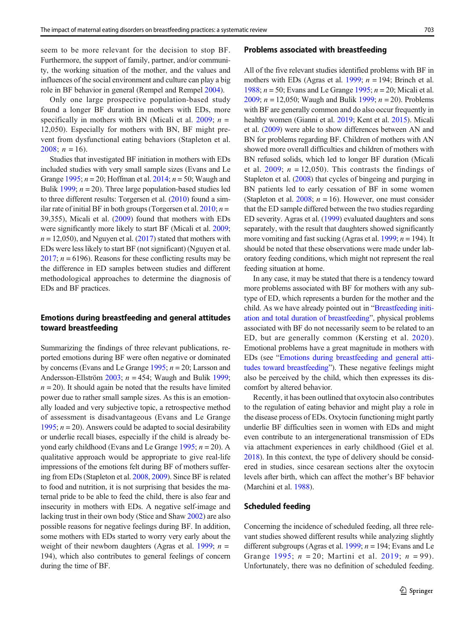seem to be more relevant for the decision to stop BF. Furthermore, the support of family, partner, and/or community, the working situation of the mother, and the values and influences of the social environment and culture can play a big role in BF behavior in general (Rempel and Rempel [2004](#page-15-0)).

Only one large prospective population-based study found a longer BF duration in mothers with EDs, more specifically in mothers with BN (Micali et al. [2009](#page-14-0);  $n =$ 12,050). Especially for mothers with BN, BF might prevent from dysfunctional eating behaviors (Stapleton et al. [2008](#page-15-0);  $n = 16$ ).

Studies that investigated BF initiation in mothers with EDs included studies with very small sample sizes (Evans and Le Grange [1995](#page-14-0);  $n = 20$ ; Hoffman et al. [2014](#page-14-0);  $n = 50$ ; Waugh and Bulik [1999;](#page-15-0)  $n = 20$ ). Three large population-based studies led to three different results: Torgersen et al. ([2010](#page-15-0)) found a similar rate of initial BF in both groups (Torgersen et al.  $2010$ ;  $n =$ 39,355), Micali et al. ([2009\)](#page-14-0) found that mothers with EDs were significantly more likely to start BF (Micali et al. [2009](#page-14-0);  $n = 12,050$ , and Nguyen et al. ([2017](#page-14-0)) stated that mothers with EDs were less likely to start BF (not significant) (Nguyen et al. [2017;](#page-14-0)  $n = 6196$ ). Reasons for these conflicting results may be the difference in ED samples between studies and different methodological approaches to determine the diagnosis of EDs and BF practices.

# Emotions during breastfeeding and general attitudes toward breastfeeding

Summarizing the findings of three relevant publications, reported emotions during BF were often negative or dominated by concerns (Evans and Le Grange  $1995$ ;  $n = 20$ ; Larsson and Andersson-Ellström  $2003$ ;  $n = 454$ ; Waugh and Bulik [1999](#page-15-0);  $n = 20$ ). It should again be noted that the results have limited power due to rather small sample sizes. As this is an emotionally loaded and very subjective topic, a retrospective method of assessment is disadvantageous (Evans and Le Grange [1995;](#page-14-0)  $n = 20$ ). Answers could be adapted to social desirability or underlie recall biases, especially if the child is already be-yond early childhood (Evans and Le Grange [1995;](#page-14-0)  $n = 20$ ). A qualitative approach would be appropriate to give real-life impressions of the emotions felt during BF of mothers suffering from EDs (Stapleton et al. [2008,](#page-15-0) [2009\)](#page-15-0). Since BF is related to food and nutrition, it is not surprising that besides the maternal pride to be able to feed the child, there is also fear and insecurity in mothers with EDs. A negative self-image and lacking trust in their own body (Stice and Shaw [2002](#page-15-0)) are also possible reasons for negative feelings during BF. In addition, some mothers with EDs started to worry very early about the weight of their newborn daughters (Agras et al. [1999;](#page-13-0)  $n =$ 194), which also contributes to general feelings of concern during the time of BF.

#### Problems associated with breastfeeding

All of the five relevant studies identified problems with BF in mothers with EDs (Agras et al. [1999;](#page-13-0)  $n = 194$ ; Brinch et al. [1988;](#page-13-0)  $n = 50$ ; Evans and Le Grange [1995;](#page-14-0)  $n = 20$ ; Micali et al. [2009;](#page-14-0)  $n = 12,050$ ; Waugh and Bulik [1999](#page-15-0);  $n = 20$ ). Problems with BF are generally common and do also occur frequently in healthy women (Gianni et al. [2019](#page-14-0); Kent et al. [2015\)](#page-14-0). Micali et al. [\(2009\)](#page-14-0) were able to show differences between AN and BN for problems regarding BF. Children of mothers with AN showed more overall difficulties and children of mothers with BN refused solids, which led to longer BF duration (Micali et al. [2009](#page-14-0);  $n = 12,050$ . This contrasts the findings of Stapleton et al. [\(2008\)](#page-15-0) that cycles of bingeing and purging in BN patients led to early cessation of BF in some women (Stapleton et al. [2008](#page-15-0);  $n = 16$ ). However, one must consider that the ED sample differed between the two studies regarding ED severity. Agras et al. [\(1999\)](#page-13-0) evaluated daughters and sons separately, with the result that daughters showed significantly more vomiting and fast sucking (Agras et al. [1999](#page-13-0);  $n = 194$ ). It should be noted that these observations were made under laboratory feeding conditions, which might not represent the real feeding situation at home.

In any case, it may be stated that there is a tendency toward more problems associated with BF for mothers with any subtype of ED, which represents a burden for the mother and the child. As we have already pointed out in "[Breastfeeding initi](#page-6-0)[ation and total duration of breastfeeding](#page-6-0)", physical problems associated with BF do not necessarily seem to be related to an ED, but are generally common (Kersting et al. [2020](#page-14-0)). Emotional problems have a great magnitude in mothers with EDs (see "Emotions during breastfeeding and general attitudes toward breastfeeding"). These negative feelings might also be perceived by the child, which then expresses its discomfort by altered behavior.

Recently, it has been outlined that oxytocin also contributes to the regulation of eating behavior and might play a role in the disease process of EDs. Oxytocin functioning might partly underlie BF difficulties seen in women with EDs and might even contribute to an intergenerational transmission of EDs via attachment experiences in early childhood (Giel et al. [2018\)](#page-14-0). In this context, the type of delivery should be considered in studies, since cesarean sections alter the oxytocin levels after birth, which can affect the mother's BF behavior (Marchini et al. [1988](#page-14-0)).

#### Scheduled feeding

Concerning the incidence of scheduled feeding, all three relevant studies showed different results while analyzing slightly different subgroups (Agras et al. [1999](#page-13-0);  $n = 194$ ; Evans and Le Grange [1995](#page-14-0);  $n = 20$ ; Martini et al. [2019;](#page-14-0)  $n = 99$ ). Unfortunately, there was no definition of scheduled feeding.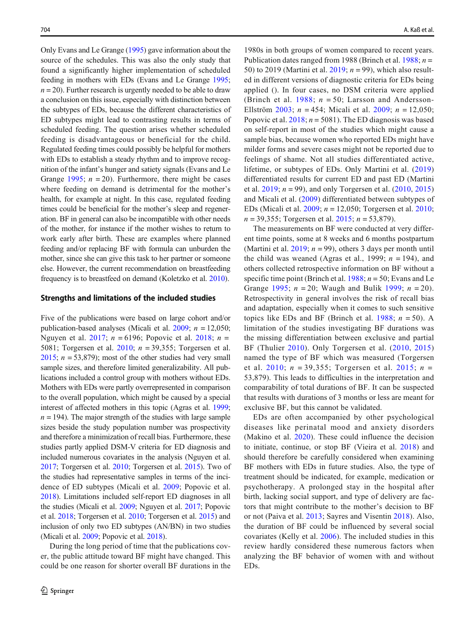Only Evans and Le Grange ([1995](#page-14-0)) gave information about the source of the schedules. This was also the only study that found a significantly higher implementation of scheduled feeding in mothers with EDs (Evans and Le Grange [1995](#page-14-0);  $n = 20$ ). Further research is urgently needed to be able to draw a conclusion on this issue, especially with distinction between the subtypes of EDs, because the different characteristics of ED subtypes might lead to contrasting results in terms of scheduled feeding. The question arises whether scheduled feeding is disadvantageous or beneficial for the child. Regulated feeding times could possibly be helpful for mothers with EDs to establish a steady rhythm and to improve recognition of the infant's hunger and satiety signals (Evans and Le Grange [1995;](#page-14-0)  $n = 20$ ). Furthermore, there might be cases where feeding on demand is detrimental for the mother's health, for example at night. In this case, regulated feeding times could be beneficial for the mother's sleep and regeneration. BF in general can also be incompatible with other needs of the mother, for instance if the mother wishes to return to work early after birth. These are examples where planned feeding and/or replacing BF with formula can unburden the mother, since she can give this task to her partner or someone else. However, the current recommendation on breastfeeding frequency is to breastfeed on demand (Koletzko et al. [2010](#page-14-0)).

#### Strengths and limitations of the included studies

Five of the publications were based on large cohort and/or publication-based analyses (Micali et al. [2009;](#page-14-0)  $n = 12,050$ ; Nguyen et al. [2017;](#page-14-0)  $n = 6196$ ; Popovic et al. [2018;](#page-15-0)  $n =$ 5081; Torgersen et al.  $2010$ ;  $n = 39,355$ ; Torgersen et al. [2015;](#page-15-0)  $n = 53,879$ ; most of the other studies had very small sample sizes, and therefore limited generalizability. All publications included a control group with mothers without EDs. Mothers with EDs were partly overrepresented in comparison to the overall population, which might be caused by a special interest of affected mothers in this topic (Agras et al. [1999](#page-13-0);  $n = 194$ ). The major strength of the studies with large sample sizes beside the study population number was prospectivity and therefore a minimization of recall bias. Furthermore, these studies partly applied DSM-V criteria for ED diagnosis and included numerous covariates in the analysis (Nguyen et al. [2017;](#page-14-0) Torgersen et al. [2010;](#page-15-0) Torgersen et al. [2015](#page-15-0)). Two of the studies had representative samples in terms of the incidence of ED subtypes (Micali et al. [2009;](#page-14-0) Popovic et al. [2018\)](#page-15-0). Limitations included self-report ED diagnoses in all the studies (Micali et al. [2009](#page-14-0); Nguyen et al. [2017](#page-14-0); Popovic et al. [2018](#page-15-0); Torgersen et al. [2010;](#page-15-0) Torgersen et al. [2015](#page-15-0)) and inclusion of only two ED subtypes (AN/BN) in two studies (Micali et al. [2009;](#page-14-0) Popovic et al. [2018\)](#page-15-0).

During the long period of time that the publications cover, the public attitude toward BF might have changed. This could be one reason for shorter overall BF durations in the

1980s in both groups of women compared to recent years. Publication dates ranged from 1988 (Brinch et al. [1988;](#page-13-0)  $n =$ 50) to 2019 (Martini et al.  $2019$ ;  $n = 99$ ), which also resulted in different versions of diagnostic criteria for EDs being applied (). In four cases, no DSM criteria were applied (Brinch et al. [1988;](#page-13-0)  $n = 50$ ; Larsson and Andersson-Ellström [2003](#page-14-0);  $n = 454$ ; Micali et al. [2009](#page-14-0);  $n = 12,050$ ; Popovic et al.  $2018$ ;  $n = 5081$ ). The ED diagnosis was based on self-report in most of the studies which might cause a sample bias, because women who reported EDs might have milder forms and severe cases might not be reported due to feelings of shame. Not all studies differentiated active, lifetime, or subtypes of EDs. Only Martini et al. [\(2019](#page-14-0)) differentiated results for current ED and past ED (Martini et al.  $2019$ ;  $n = 99$ ), and only Torgersen et al.  $(2010, 2015)$  $(2010, 2015)$  $(2010, 2015)$  $(2010, 2015)$ and Micali et al. [\(2009](#page-14-0)) differentiated between subtypes of EDs (Micali et al. [2009](#page-14-0);  $n = 12,050$ ; Torgersen et al. [2010;](#page-15-0)  $n = 39,355$ ; Torgersen et al. [2015;](#page-15-0)  $n = 53,879$ ).

The measurements on BF were conducted at very different time points, some at 8 weeks and 6 months postpartum (Martini et al.  $2019$ ;  $n = 99$ ), others 3 days per month until the child was weaned (Agras et al., 1999;  $n = 194$ ), and others collected retrospective information on BF without a specific time point (Brinch et al. [1988](#page-13-0);  $n = 50$ ; Evans and Le Grange [1995;](#page-14-0)  $n = 20$ ; Waugh and Bulik [1999;](#page-15-0)  $n = 20$ ). Retrospectivity in general involves the risk of recall bias and adaptation, especially when it comes to such sensitive topics like EDs and BF (Brinch et al.  $1988$ ;  $n = 50$ ). A limitation of the studies investigating BF durations was the missing differentiation between exclusive and partial BF (Thulier [2010\)](#page-15-0). Only Torgersen et al. [\(2010](#page-15-0), [2015](#page-15-0)) named the type of BF which was measured (Torgersen et al. [2010](#page-15-0);  $n = 39,355$ ; Torgersen et al. [2015](#page-15-0);  $n =$ 53,879). This leads to difficulties in the interpretation and comparability of total durations of BF. It can be suspected that results with durations of 3 months or less are meant for exclusive BF, but this cannot be validated.

EDs are often accompanied by other psychological diseases like perinatal mood and anxiety disorders (Makino et al. [2020\)](#page-14-0). These could influence the decision to initiate, continue, or stop BF (Vieira et al. [2018](#page-15-0)) and should therefore be carefully considered when examining BF mothers with EDs in future studies. Also, the type of treatment should be indicated, for example, medication or psychotherapy. A prolonged stay in the hospital after birth, lacking social support, and type of delivery are factors that might contribute to the mother's decision to BF or not (Paiva et al. [2013](#page-15-0); Sayres and Visentin [2018](#page-15-0)). Also, the duration of BF could be influenced by several social covariates (Kelly et al. [2006](#page-14-0)). The included studies in this review hardly considered these numerous factors when analyzing the BF behavior of women with and without EDs.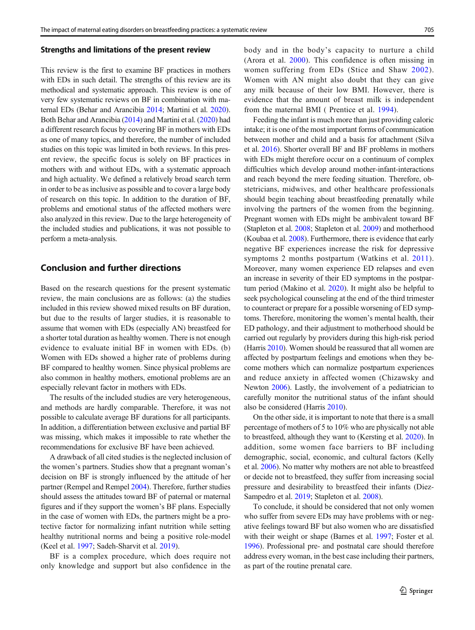#### Strengths and limitations of the present review

This review is the first to examine BF practices in mothers with EDs in such detail. The strengths of this review are its methodical and systematic approach. This review is one of very few systematic reviews on BF in combination with maternal EDs (Behar and Arancibia [2014](#page-13-0); Martini et al. [2020\)](#page-14-0). Both Behar and Arancibia ([2014](#page-13-0)) and Martini et al. [\(2020\)](#page-14-0) had a different research focus by covering BF in mothers with EDs as one of many topics, and therefore, the number of included studies on this topic was limited in both reviews. In this present review, the specific focus is solely on BF practices in mothers with and without EDs, with a systematic approach and high actuality. We defined a relatively broad search term in order to be as inclusive as possible and to cover a large body of research on this topic. In addition to the duration of BF, problems and emotional status of the affected mothers were also analyzed in this review. Due to the large heterogeneity of the included studies and publications, it was not possible to perform a meta-analysis.

# Conclusion and further directions

Based on the research questions for the present systematic review, the main conclusions are as follows: (a) the studies included in this review showed mixed results on BF duration, but due to the results of larger studies, it is reasonable to assume that women with EDs (especially AN) breastfeed for a shorter total duration as healthy women. There is not enough evidence to evaluate initial BF in women with EDs. (b) Women with EDs showed a higher rate of problems during BF compared to healthy women. Since physical problems are also common in healthy mothers, emotional problems are an especially relevant factor in mothers with EDs.

The results of the included studies are very heterogeneous, and methods are hardly comparable. Therefore, it was not possible to calculate average BF durations for all participants. In addition, a differentiation between exclusive and partial BF was missing, which makes it impossible to rate whether the recommendations for exclusive BF have been achieved.

A drawback of all cited studies is the neglected inclusion of the women's partners. Studies show that a pregnant woman's decision on BF is strongly influenced by the attitude of her partner (Rempel and Rempel [2004\)](#page-15-0). Therefore, further studies should assess the attitudes toward BF of paternal or maternal figures and if they support the women's BF plans. Especially in the case of women with EDs, the partners might be a protective factor for normalizing infant nutrition while setting healthy nutritional norms and being a positive role-model (Keel et al. [1997](#page-14-0); Sadeh-Sharvit et al. [2019\)](#page-15-0).

BF is a complex procedure, which does require not only knowledge and support but also confidence in the body and in the body's capacity to nurture a child (Arora et al. [2000](#page-13-0)). This confidence is often missing in women suffering from EDs (Stice and Shaw [2002](#page-15-0)). Women with AN might also doubt that they can give any milk because of their low BMI. However, there is evidence that the amount of breast milk is independent from the maternal BMI ( Prentice et al. [1994](#page-15-0)).

Feeding the infant is much more than just providing caloric intake; it is one of the most important forms of communication between mother and child and a basis for attachment (Silva et al. [2016\)](#page-15-0). Shorter overall BF and BF problems in mothers with EDs might therefore occur on a continuum of complex difficulties which develop around mother-infant-interactions and reach beyond the mere feeding situation. Therefore, obstetricians, midwives, and other healthcare professionals should begin teaching about breastfeeding prenatally while involving the partners of the women from the beginning. Pregnant women with EDs might be ambivalent toward BF (Stapleton et al. [2008](#page-15-0); Stapleton et al. [2009\)](#page-15-0) and motherhood (Koubaa et al. [2008\)](#page-14-0). Furthermore, there is evidence that early negative BF experiences increase the risk for depressive symptoms 2 months postpartum (Watkins et al. [2011](#page-15-0)). Moreover, many women experience ED relapses and even an increase in severity of their ED symptoms in the postpartum period (Makino et al. [2020](#page-14-0)). It might also be helpful to seek psychological counseling at the end of the third trimester to counteract or prepare for a possible worsening of ED symptoms. Therefore, monitoring the women's mental health, their ED pathology, and their adjustment to motherhood should be carried out regularly by providers during this high-risk period (Harris [2010\)](#page-14-0). Women should be reassured that all women are affected by postpartum feelings and emotions when they become mothers which can normalize postpartum experiences and reduce anxiety in affected women (Chizawsky and Newton [2006](#page-13-0)). Lastly, the involvement of a pediatrician to carefully monitor the nutritional status of the infant should also be considered (Harris [2010](#page-14-0)).

On the other side, it is important to note that there is a small percentage of mothers of 5 to 10% who are physically not able to breastfeed, although they want to (Kersting et al. [2020\)](#page-14-0). In addition, some women face barriers to BF including demographic, social, economic, and cultural factors (Kelly et al. [2006](#page-14-0)). No matter why mothers are not able to breastfeed or decide not to breastfeed, they suffer from increasing social pressure and desirability to breastfeed their infants (Diez-Sampedro et al. [2019](#page-14-0); Stapleton et al. [2008\)](#page-15-0).

To conclude, it should be considered that not only women who suffer from severe EDs may have problems with or negative feelings toward BF but also women who are dissatisfied with their weight or shape (Barnes et al. [1997;](#page-13-0) Foster et al. [1996\)](#page-14-0). Professional pre- and postnatal care should therefore address every woman, in the best case including their partners, as part of the routine prenatal care.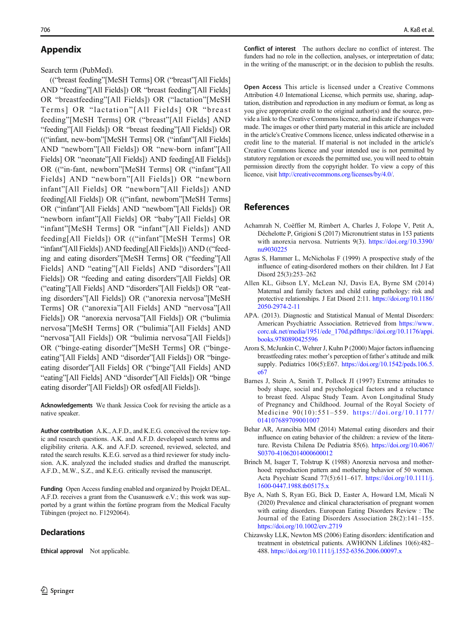# <span id="page-13-0"></span>Appendix

Search term (PubMed).

(("breast feeding"[MeSH Terms] OR ("breast"[All Fields] AND "feeding"[All Fields]) OR "breast feeding"[All Fields] OR "breastfeeding"[All Fields]) OR ("lactation"[MeSH Terms] OR "lactation" [All Fields] OR "breast feeding"[MeSH Terms] OR ("breast"[All Fields] AND "feeding"[All Fields]) OR "breast feeding"[All Fields]) OR (("infant, new-born"[MeSH Terms] OR ("infant"[All Fields] AND "newborn"[All Fields]) OR "new-born infant"[All Fields] OR "neonate"[All Fields]) AND feeding[All Fields]) OR (("in-fant, newborn"[MeSH Terms] OR ("infant"[All Fields] AND "newborn"[All Fields]) OR "newborn infant"[All Fields] OR "newborn"[All Fields]) AND feeding[All Fields]) OR (("infant, newborn"[MeSH Terms] OR ("infant"[All Fields] AND "newborn"[All Fields]) OR "newborn infant"[All Fields] OR "baby"[All Fields] OR "infant"[MeSH Terms] OR "infant"[All Fields]) AND feeding[All Fields]) OR (("infant"[MeSH Terms] OR "infant"[All Fields]) AND feeding[All Fields])) AND (("feeding and eating disorders"[MeSH Terms] OR ("feeding"[All Fields] AND "eating"[All Fields] AND "disorders"[All Fields]) OR "feeding and eating disorders"[All Fields] OR ("eating"[All Fields] AND "disorders"[All Fields]) OR "eating disorders"[All Fields]) OR ("anorexia nervosa"[MeSH Terms] OR ("anorexia"[All Fields] AND "nervosa"[All Fields]) OR "anorexia nervosa"[All Fields]) OR ("bulimia nervosa"[MeSH Terms] OR ("bulimia"[All Fields] AND "nervosa"[All Fields]) OR "bulimia nervosa"[All Fields]) OR ("binge-eating disorder"[MeSH Terms] OR ("bingeeating"[All Fields] AND "disorder"[All Fields]) OR "bingeeating disorder"[All Fields] OR ("binge"[All Fields] AND "eating"[All Fields] AND "disorder"[All Fields]) OR "binge eating disorder"[All Fields]) OR osfed[All Fields]).

Acknowledgements We thank Jessica Cook for revising the article as a native speaker.

Author contribution A.K., A.F.D., and K.E.G. conceived the review topic and research questions. A.K. and A.F.D. developed search terms and eligibility criteria. A.K. and A.F.D. screened, reviewed, selected, and rated the search results. K.E.G. served as a third reviewer for study inclusion. A.K. analyzed the included studies and drafted the manuscript. A.F.D., M.W., S.Z., and K.E.G. critically revised the manuscript.

Funding Open Access funding enabled and organized by Projekt DEAL. A.F.D. receives a grant from the Cusanuswerk e.V.; this work was supported by a grant within the fortüne program from the Medical Faculty Tübingen (project no. F1292064).

## **Declarations**

Ethical approval Not applicable.

Conflict of interest The authors declare no conflict of interest. The funders had no role in the collection, analyses, or interpretation of data; in the writing of the manuscript; or in the decision to publish the results.

Open Access This article is licensed under a Creative Commons Attribution 4.0 International License, which permits use, sharing, adaptation, distribution and reproduction in any medium or format, as long as you give appropriate credit to the original author(s) and the source, provide a link to the Creative Commons licence, and indicate if changes were made. The images or other third party material in this article are included in the article's Creative Commons licence, unless indicated otherwise in a credit line to the material. If material is not included in the article's Creative Commons licence and your intended use is not permitted by statutory regulation or exceeds the permitted use, you will need to obtain permission directly from the copyright holder. To view a copy of this licence, visit <http://creativecommons.org/licenses/by/4.0/>.

# References

- Achamrah N, Coëffier M, Rimbert A, Charles J, Folope V, Petit A, Déchelotte P, Grigioni S (2017) Micronutrient status in 153 patients with anorexia nervosa. Nutrients 9(3). [https://doi.org/10.3390/](https://doi.org/10.3390/nu9030225) [nu9030225](https://doi.org/10.3390/nu9030225)
- Agras S, Hammer L, McNicholas F (1999) A prospective study of the influence of eating-disordered mothers on their children. Int J Eat Disord 25(3):253–262
- Allen KL, Gibson LY, McLean NJ, Davis EA, Byrne SM (2014) Maternal and family factors and child eating pathology: risk and protective relationships. J Eat Disord 2:11. [https://doi.org/10.1186/](https://doi.org/10.1186/2050-2974-2-11) [2050-2974-2-11](https://doi.org/10.1186/2050-2974-2-11)
- APA. (2013). Diagnostic and Statistical Manual of Mental Disorders: American Psychiatric Association. Retrieved from [https://www.](https://www.corc.uk.net/media/1951/ede_170d.pdf) [corc.uk.net/media/1951/ede\\_170d.pdf](https://www.corc.uk.net/media/1951/ede_170d.pdf)[https://doi.org/10.1176/appi.](https://doi.org/10.1176/appi.books.9780890425596) [books.9780890425596](https://doi.org/10.1176/appi.books.9780890425596)
- Arora S, McJunkin C, Wehrer J, Kuhn P (2000) Major factors influencing breastfeeding rates: mother's perception of father's attitude and milk supply. Pediatrics 106(5):E67. [https://doi.org/10.1542/peds.106.5.](https://doi.org/10.1542/peds.106.5.e67) [e67](https://doi.org/10.1542/peds.106.5.e67)
- Barnes J, Stein A, Smith T, Pollock JI (1997) Extreme attitudes to body shape, social and psychological factors and a reluctance to breast feed. Alspac Study Team. Avon Longitudinal Study of Pregnancy and Childhood. Journal of the Royal Society of Medicine 90(10):551–559. [https://doi.org/10.1177/](https://doi.org/10.1177/014107689709001007) [014107689709001007](https://doi.org/10.1177/014107689709001007)
- Behar AR, Arancibia MM (2014) Maternal eating disorders and their influence on eating behavior of the children: a review of the literature. Revista Chilena De Pediatria 85(6). [https://doi.org/10.4067/](https://doi.org/10.4067/S0370-41062014000600012) [S0370-41062014000600012](https://doi.org/10.4067/S0370-41062014000600012)
- Brinch M, Isager T, Tolstrup K (1988) Anorexia nervosa and motherhood: reproduction pattern and mothering behavior of 50 women. Acta Psychiatr Scand 77(5):611–617. [https://doi.org/10.1111/j.](https://doi.org/10.1111/j.16001988.tb05175.x) [1600-0447.1988.tb05175.x](https://doi.org/10.1111/j.16001988.tb05175.x)
- Bye A, Nath S, Ryan EG, Bick D, Easter A, Howard LM, Micali N (2020) Prevalence and clinical characterisation of pregnant women with eating disorders. European Eating Disorders Review : The Journal of the Eating Disorders Association 28(2):141–155. <https://doi.org/10.1002/erv.2719>
- Chizawsky LLK, Newton MS (2006) Eating disorders: identification and treatment in obstetrical patients. AWHONN Lifelines 10(6):482– 488. <https://doi.org/10.1111/j.1552-6356.2006.00097.x>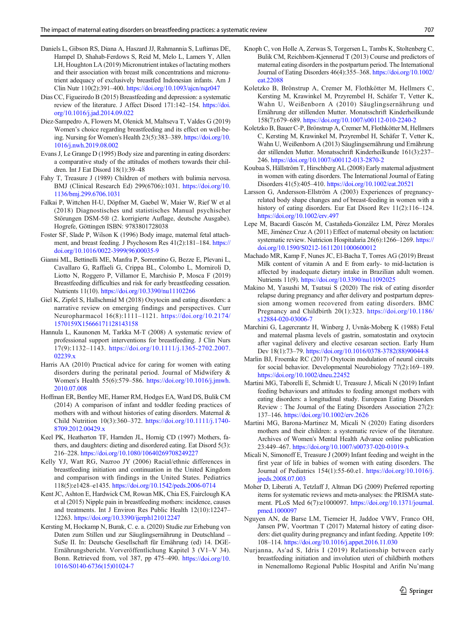- <span id="page-14-0"></span>Daniels L, Gibson RS, Diana A, Haszard JJ, Rahmannia S, Luftimas DE, Hampel D, Shahab-Ferdows S, Reid M, Melo L, Lamers Y, Allen LH, Houghton LA (2019) Micronutrient intakes of lactating mothers and their association with breast milk concentrations and micronutrient adequacy of exclusively breastfed Indonesian infants. Am J Clin Nutr 110(2):391–400. <https://doi.org/10.1093/ajcn/nqz047>
- Dias CC, Figueiredo B (2015) Breastfeeding and depression: a systematic review of the literature. J Affect Disord 171:142–154. [https://doi.](https://doi.org/10.1016/j.jad.2014.09.022) [org/10.1016/j.jad.2014.09.022](https://doi.org/10.1016/j.jad.2014.09.022)
- Diez-Sampedro A, Flowers M, Olenick M, Maltseva T, Valdes G (2019) Women's choice regarding breastfeeding and its effect on well-being. Nursing for Women's Health 23(5):383–389. [https://doi.org/10.](https://doi.org/10.1016/j.nwh.2019.08.002) [1016/j.nwh.2019.08.002](https://doi.org/10.1016/j.nwh.2019.08.002)
- Evans J, Le Grange D (1995) Body size and parenting in eating disorders: a comparative study of the attitudes of mothers towards their children. Int J Eat Disord 18(1):39–48
- Fahy T, Treasure J (1989) Children of mothers with bulimia nervosa. BMJ (Clinical Research Ed) 299(6706):1031. [https://doi.org/10.](https://doi.org/10.1136/bmj.299.6706.1031) [1136/bmj.299.6706.1031](https://doi.org/10.1136/bmj.299.6706.1031)
- Falkai P, Wittchen H-U, Döpfner M, Gaebel W, Maier W, Rief W et al (2018) Diagnostisches und statistisches Manual psychischer Störungen DSM-5® (2. korrigierte Auflage, deutsche Ausgabe). Hogrefe, Göttingen ISBN: 9783801728038
- Foster SF, Slade P, Wilson K (1996) Body image, maternal fetal attachment, and breast feeding. J Psychosom Res 41(2):181–184. [https://](https://doi.org/10.1016/0022-3999(96)00035-9) [doi.org/10.1016/0022-3999\(96\)00035-9](https://doi.org/10.1016/0022-3999(96)00035-9)
- Gianni ML, Bettinelli ME, Manfra P, Sorrentino G, Bezze E, Plevani L, Cavallaro G, Raffaeli G, Crippa BL, Colombo L, Morniroli D, Liotto N, Roggero P, Villamor E, Marchisio P, Mosca F (2019) Breastfeeding difficulties and risk for early breastfeeding cessation. Nutrients 11(10). <https://doi.org/10.3390/nu11102266>
- Giel K, Zipfel S, Hallschmid M (2018) Oxytocin and eating disorders: a narrative review on emerging findings and perspectives. Curr Neuropharmacol 16(8):1111–1121. [https://doi.org/10.2174/](https://doi.org/10.2174/1570159X15666171128143158) [1570159X15666171128143158](https://doi.org/10.2174/1570159X15666171128143158)
- Hannula L, Kaunonen M, Tarkka M-T (2008) A systematic review of professional support interventions for breastfeeding. J Clin Nurs 17(9):1132–1143. [https://doi.org/10.1111/j.1365-2702.2007.](https://doi.org/10.1111/j.1365-2702.2007.02239.x) [02239.x](https://doi.org/10.1111/j.1365-2702.2007.02239.x)
- Harris AA (2010) Practical advice for caring for women with eating disorders during the perinatal period. Journal of Midwifery & Women's Health 55(6):579–586. [https://doi.org/10.1016/j.jmwh.](https://doi.org/10.1016/j.jmwh.2010.07.008) [2010.07.008](https://doi.org/10.1016/j.jmwh.2010.07.008)
- Hoffman ER, Bentley ME, Hamer RM, Hodges EA, Ward DS, Bulik CM (2014) A comparison of infant and toddler feeding practices of mothers with and without histories of eating disorders. Maternal & Child Nutrition 10(3):360–372. [https://doi.org/10.1111/j.1740-](https://doi.org/10.1111/j.1740-8709.2012.00429.x) [8709.2012.00429.x](https://doi.org/10.1111/j.1740-8709.2012.00429.x)
- Keel PK, Heatherton TF, Harnden JL, Hornig CD (1997) Mothers, fathers, and daughters: dieting and disordered eating. Eat Disord 5(3): 216–228. <https://doi.org/10.1080/10640269708249227>
- Kelly YJ, Watt RG, Nazroo JY (2006) Racial/ethnic differences in breastfeeding initiation and continuation in the United Kingdom and comparison with findings in the United States. Pediatrics 118(5):e1428–e1435. <https://doi.org/10.1542/peds.2006-0714>
- Kent JC, Ashton E, Hardwick CM, Rowan MK, Chia ES, Fairclough KA et al (2015) Nipple pain in breastfeeding mothers: incidence, causes and treatments. Int J Environ Res Public Health 12(10):12247– 12263. <https://doi.org/10.3390/ijerph121012247>
- Kersting M, Hockamp N, Burak, C. e. a. (2020) Studie zur Erhebung von Daten zum Stillen und zur Säuglingsernährung in Deutschland – SuSe II. In: Deutsche Gesellschaft für Ernährung (ed) 14. DGE-Ernährungsbericht. Vorveröffentlichung Kapitel 3 (V1–V 34). Bonn. Retrieved from, vol 387, pp 475–490. [https://doi.org/10.](https://doi.org/10.1016/S0140-6736(15)01024-7) [1016/S0140-6736\(15\)01024-7](https://doi.org/10.1016/S0140-6736(15)01024-7)
- Knoph C, von Holle A, Zerwas S, Torgersen L, Tambs K, Stoltenberg C, Bulik CM, Reichborn-Kjennerud T (2013) Course and predictors of maternal eating disorders in the postpartum period. The International Journal of Eating Disorders 46(4):355–368. [https://doi.org/10.1002/](https://doi.org/10.1002/eat.22088) [eat.22088](https://doi.org/10.1002/eat.22088)
- Koletzko B, Brönstrup A, Cremer M, Flothkötter M, Hellmers C, Kersting M, Krawinkel M, Przyrembel H, Schäfer T, Vetter K, Wahn U, Weißenborn A (2010) Säuglingsernährung und Ernährung der stillenden Mutter. Monatsschrift Kinderheilkunde 158(7):679–689. <https://doi.org/10.1007/s00112-010-2240-2>
- Koletzko B, Bauer C-P, Brönstrup A, Cremer M, Flothkötter M, Hellmers C, Kersting M, Krawinkel M, Przyrembel H, Schäfer T, Vetter K, Wahn U, Weißenborn A (2013) Säuglingsernährung und Ernährung der stillenden Mutter. Monatsschrift Kinderheilkunde 161(3):237– 246. <https://doi.org/10.1007/s00112-013-2870-2>
- Koubaa S, Hällström T, Hirschberg AL (2008) Early maternal adjustment in women with eating disorders. The International Journal of Eating Disorders 41(5):405–410. <https://doi.org/10.1002/eat.20521>
- Larsson G, Andersson-Ellström A (2003) Experiences of pregnancyrelated body shape changes and of breast-feeding in women with a history of eating disorders. Eur Eat Disord Rev 11(2):116–124. <https://doi.org/10.1002/erv.497>
- Lepe M, Bacardí Gascón M, Castañeda-González LM, Pérez Morales ME, Jiménez Cruz A (2011) Effect of maternal obesity on lactation: systematic review. Nutricion Hospitalaria 26(6):1266–1269. [https://](https://doi.org/10.1590/S0212-16112011000600012) [doi.org/10.1590/S0212-16112011000600012](https://doi.org/10.1590/S0212-16112011000600012)
- Machado MR, Kamp F, Nunes JC, El-Bacha T, Torres AG (2019) Breast Milk content of vitamin A and E from early- to mid-lactation is affected by inadequate dietary intake in Brazilian adult women. Nutrients 11(9). <https://doi.org/10.3390/nu11092025>
- Makino M, Yasushi M, Tsutsui S (2020) The risk of eating disorder relapse during pregnancy and after delivery and postpartum depression among women recovered from eating disorders. BMC Pregnancy and Childbirth 20(1):323. [https://doi.org/10.1186/](https://doi.org/10.1186/s12884-020-03006-7) [s12884-020-03006-7](https://doi.org/10.1186/s12884-020-03006-7)
- Marchini G, Lagercrantz H, Winberg J, Uvnäs-Moberg K (1988) Fetal and maternal plasma levels of gastrin, somatostatin and oxytocin after vaginal delivery and elective cesarean section. Early Hum Dev 18(1):73–79. [https://doi.org/10.1016/0378-3782\(88\)90044-8](https://doi.org/10.1016/0378-3782(88)90044-8)
- Marlin BJ, Froemke RC (2017) Oxytocin modulation of neural circuits for social behavior. Developmental Neurobiology 77(2):169–189. <https://doi.org/10.1002/dneu.22452>
- Martini MG, Taborelli E, Schmidt U, Treasure J, Micali N (2019) Infant feeding behaviours and attitudes to feeding amongst mothers with eating disorders: a longitudinal study. European Eating Disorders Review : The Journal of the Eating Disorders Association 27(2): 137–146. <https://doi.org/10.1002/erv.2626>
- Martini MG, Barona-Martinez M, Micali N (2020) Eating disorders mothers and their children: a systematic review of the literature. Archives of Women's Mental Health Advance online publication 23:449–467. <https://doi.org/10.1007/s00737-020-01019-x>
- Micali N, Simonoff E, Treasure J (2009) Infant feeding and weight in the first year of life in babies of women with eating disorders. The Journal of Pediatrics 154(1):55-60.e1. [https://doi.org/10.1016/j.](https://doi.org/10.1016/j.jpeds.2008.07.003) [jpeds.2008.07.003](https://doi.org/10.1016/j.jpeds.2008.07.003)
- Moher D, Liberati A, Tetzlaff J, Altman DG (2009) Preferred reporting items for systematic reviews and meta-analyses: the PRISMA statement. PLoS Med 6(7):e1000097. [https://doi.org/10.1371/journal.](https://doi.org/10.1371/journal.pmed.1000097) [pmed.1000097](https://doi.org/10.1371/journal.pmed.1000097)
- Nguyen AN, de Barse LM, Tiemeier H, Jaddoe VWV, Franco OH, Jansen PW, Voortman T (2017) Maternal history of eating disorders: diet quality during pregnancy and infant feeding. Appetite 109: 108–114. <https://doi.org/10.1016/j.appet.2016.11.030>
- Nurjanna, As'ad S, Idris I (2019) Relationship between early breastfeeding initiation and involution uteri of childbirth mothers in Nenemallomo Regional Public Hospital and Arifin Nu'mang